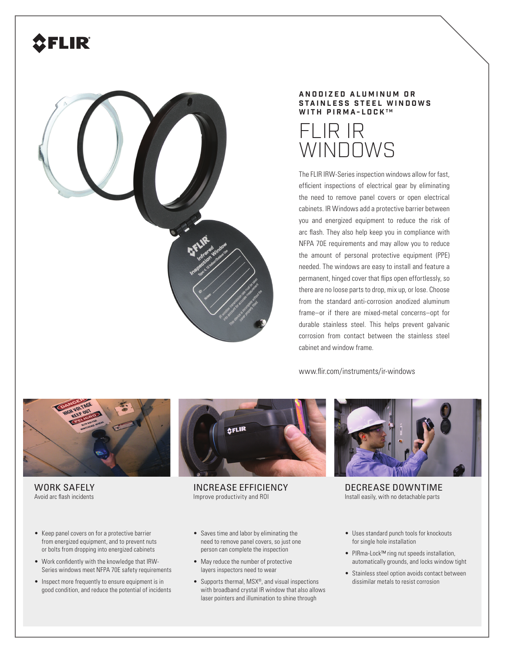## FLIR



## **A N O D I Z E D A L U M I N U M O R STAINLESS STEEL WINDOWS WITH PIRMA-LOCK™**



The FLIR IRW-Series inspection windows allow for fast, efficient inspections of electrical gear by eliminating the need to remove panel covers or open electrical cabinets. IR Windows add a protective barrier between you and energized equipment to reduce the risk of arc flash. They also help keep you in compliance with NFPA 70E requirements and may allow you to reduce the amount of personal protective equipment (PPE) needed. The windows are easy to install and feature a permanent, hinged cover that flips open effortlessly, so there are no loose parts to drop, mix up, or lose. Choose from the standard anti-corrosion anodized aluminum frame–or if there are mixed-metal concerns–opt for durable stainless steel. This helps prevent galvanic corrosion from contact between the stainless steel cabinet and window frame.

www.flir.com/instruments/ir-windows



**AFLIR** 

WORK SAFELY Avoid arc flash incidents

- Keep panel covers on for a protective barrier from energized equipment, and to prevent nuts or bolts from dropping into energized cabinets
- Work confidently with the knowledge that IRW-Series windows meet NFPA 70E safety requirements
- Inspect more frequently to ensure equipment is in good condition, and reduce the potential of incidents

INCREASE EFFICIENCY Improve productivity and ROI

- Saves time and labor by eliminating the need to remove panel covers, so just one person can complete the inspection
- May reduce the number of protective layers inspectors need to wear
- Supports thermal, MSX®, and visual inspections with broadband crystal IR window that also allows laser pointers and illumination to shine through



DECREASE DOWNTIME Install easily, with no detachable parts

- Uses standard punch tools for knockouts for single hole installation
- PIRma-Lock™ ring nut speeds installation, automatically grounds, and locks window tight
- Stainless steel option avoids contact between dissimilar metals to resist corrosion